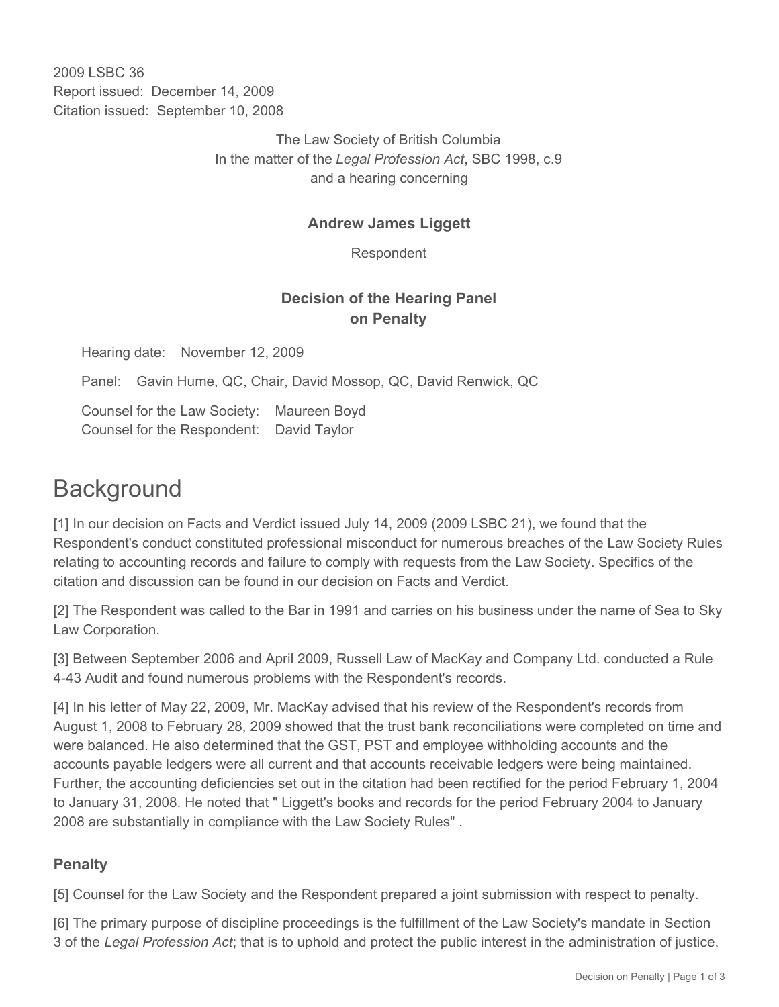2009 LSBC 36 Report issued: December 14, 2009 Citation issued: September 10, 2008

> The Law Society of British Columbia In the matter of the *Legal Profession Act*, SBC 1998, c.9 and a hearing concerning

### **Andrew James Liggett**

Respondent

## **Decision of the Hearing Panel on Penalty**

Hearing date: November 12, 2009

Panel: Gavin Hume, QC, Chair, David Mossop, QC, David Renwick, QC

Counsel for the Law Society: Maureen Boyd Counsel for the Respondent: David Taylor

# **Background**

[1] In our decision on Facts and Verdict issued July 14, 2009 (2009 LSBC 21), we found that the Respondent's conduct constituted professional misconduct for numerous breaches of the Law Society Rules relating to accounting records and failure to comply with requests from the Law Society. Specifics of the citation and discussion can be found in our decision on Facts and Verdict.

[2] The Respondent was called to the Bar in 1991 and carries on his business under the name of Sea to Sky Law Corporation.

[3] Between September 2006 and April 2009, Russell Law of MacKay and Company Ltd. conducted a Rule 4-43 Audit and found numerous problems with the Respondent's records.

[4] In his letter of May 22, 2009, Mr. MacKay advised that his review of the Respondent's records from August 1, 2008 to February 28, 2009 showed that the trust bank reconciliations were completed on time and were balanced. He also determined that the GST, PST and employee withholding accounts and the accounts payable ledgers were all current and that accounts receivable ledgers were being maintained. Further, the accounting deficiencies set out in the citation had been rectified for the period February 1, 2004 to January 31, 2008. He noted that " Liggett's books and records for the period February 2004 to January 2008 are substantially in compliance with the Law Society Rules" .

### **Penalty**

[5] Counsel for the Law Society and the Respondent prepared a joint submission with respect to penalty.

[6] The primary purpose of discipline proceedings is the fulfillment of the Law Society's mandate in Section 3 of the *Legal Profession Act*; that is to uphold and protect the public interest in the administration of justice.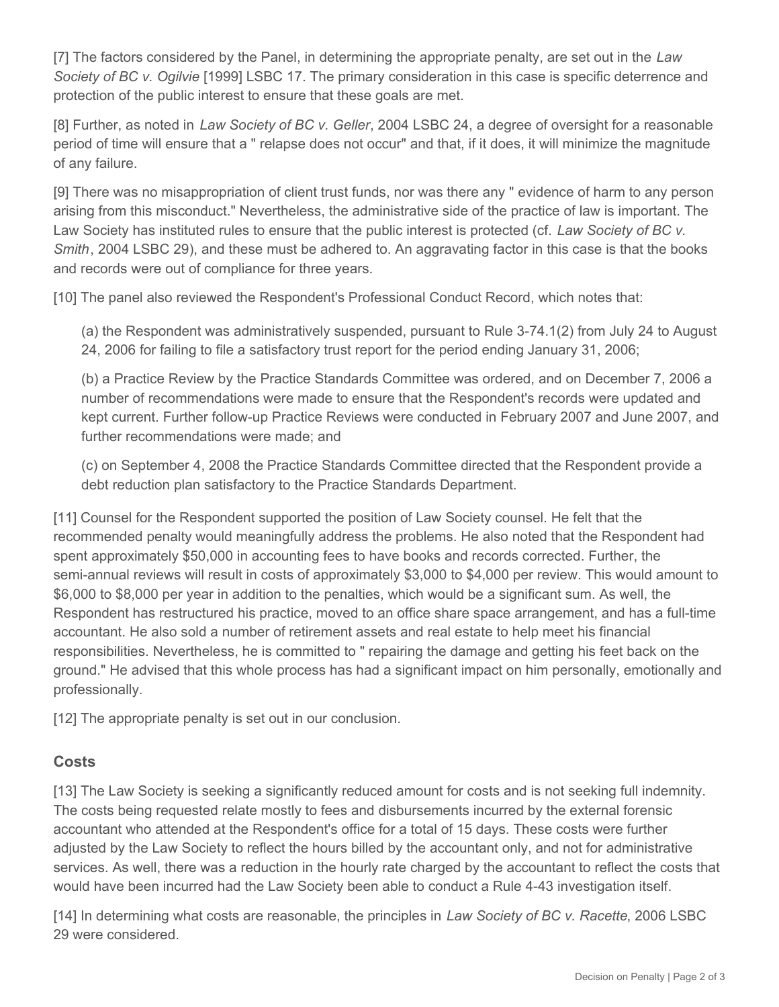[7] The factors considered by the Panel, in determining the appropriate penalty, are set out in the *Law Society of BC v. Ogilvie* [1999] LSBC 17. The primary consideration in this case is specific deterrence and protection of the public interest to ensure that these goals are met.

[8] Further, as noted in *Law Society of BC v. Geller*, 2004 LSBC 24, a degree of oversight for a reasonable period of time will ensure that a " relapse does not occur" and that, if it does, it will minimize the magnitude of any failure.

[9] There was no misappropriation of client trust funds, nor was there any " evidence of harm to any person arising from this misconduct." Nevertheless, the administrative side of the practice of law is important. The Law Society has instituted rules to ensure that the public interest is protected (cf. *Law Society of BC v. Smith*, 2004 LSBC 29), and these must be adhered to. An aggravating factor in this case is that the books and records were out of compliance for three years.

[10] The panel also reviewed the Respondent's Professional Conduct Record, which notes that:

(a) the Respondent was administratively suspended, pursuant to Rule 3-74.1(2) from July 24 to August 24, 2006 for failing to file a satisfactory trust report for the period ending January 31, 2006;

(b) a Practice Review by the Practice Standards Committee was ordered, and on December 7, 2006 a number of recommendations were made to ensure that the Respondent's records were updated and kept current. Further follow-up Practice Reviews were conducted in February 2007 and June 2007, and further recommendations were made; and

(c) on September 4, 2008 the Practice Standards Committee directed that the Respondent provide a debt reduction plan satisfactory to the Practice Standards Department.

[11] Counsel for the Respondent supported the position of Law Society counsel. He felt that the recommended penalty would meaningfully address the problems. He also noted that the Respondent had spent approximately \$50,000 in accounting fees to have books and records corrected. Further, the semi-annual reviews will result in costs of approximately \$3,000 to \$4,000 per review. This would amount to \$6,000 to \$8,000 per year in addition to the penalties, which would be a significant sum. As well, the Respondent has restructured his practice, moved to an office share space arrangement, and has a full-time accountant. He also sold a number of retirement assets and real estate to help meet his financial responsibilities. Nevertheless, he is committed to " repairing the damage and getting his feet back on the ground." He advised that this whole process has had a significant impact on him personally, emotionally and professionally.

[12] The appropriate penalty is set out in our conclusion.

### **Costs**

[13] The Law Society is seeking a significantly reduced amount for costs and is not seeking full indemnity. The costs being requested relate mostly to fees and disbursements incurred by the external forensic accountant who attended at the Respondent's office for a total of 15 days. These costs were further adjusted by the Law Society to reflect the hours billed by the accountant only, and not for administrative services. As well, there was a reduction in the hourly rate charged by the accountant to reflect the costs that would have been incurred had the Law Society been able to conduct a Rule 4-43 investigation itself.

[14] In determining what costs are reasonable, the principles in *Law Society of BC v. Racette*, 2006 LSBC 29 were considered.